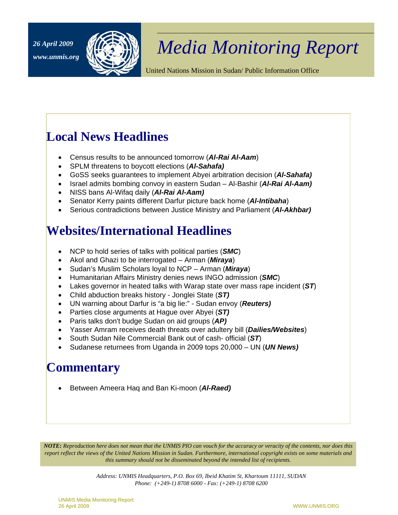

# *Media Monitoring Report 26 April 2009*

United Nations Mission in Sudan/ Public Information Office

## **Local News Headlines**

- Census results to be announced tomorrow (*Al-Rai Al-Aam*)
- SPLM threatens to boycott elections (*Al-Sahafa)*
- GoSS seeks guarantees to implement Abyei arbitration decision (*Al-Sahafa)*
- Israel admits bombing convoy in eastern Sudan Al-Bashir (*Al-Rai Al-Aam)*
- NISS bans Al-Wifaq daily (*Al-Rai Al-Aam)*
- Senator Kerry paints different Darfur picture back home (*Al-Intibaha*)
- Serious contradictions between Justice Ministry and Parliament (*Al-Akhbar)*

## **Websites/International Headlines**

- NCP to hold series of talks with political parties (*SMC*)
- Akol and Ghazi to be interrogated Arman (*Miraya*)
- Sudan's Muslim Scholars loyal to NCP Arman (*Miraya*)
- Humanitarian Affairs Ministry denies news INGO admission (*SMC*)
- Lakes governor in heated talks with Warap state over mass rape incident (*ST*)
- Child abduction breaks history Jonglei State (*ST)*
- UN warning about Darfur is "a big lie:" Sudan envoy (*Reuters)*
- Parties close arguments at Hague over Abyei (*ST)*
- Paris talks don't budge Sudan on aid groups (*AP)*
- Yasser Amram receives death threats over adultery bill (*Dailies/Websites*)
- South Sudan Nile Commercial Bank out of cash- official (*ST*)
- Sudanese returnees from Uganda in 2009 tops 20,000 UN (*UN News)*

## **Commentary**

• Between Ameera Haq and Ban Ki-moon (*Al-Raed)* 

*NOTE: Reproduction here does not mean that the UNMIS PIO can vouch for the accuracy or veracity of the contents, nor does this report reflect the views of the United Nations Mission in Sudan. Furthermore, international copyright exists on some materials and this summary should not be disseminated beyond the intended list of recipients.* 

> *Address: UNMIS Headquarters, P.O. Box 69, Ibeid Khatim St, Khartoum 11111, SUDAN Phone: (+249-1) 8708 6000 - Fax: (+249-1) 8708 6200*

UNMIS Media Monitoring Report 26 April 2009 WWW.UNMIS.ORG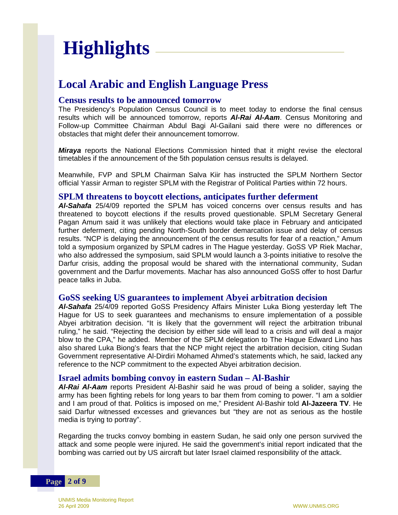# **Highlights**

### **Local Arabic and English Language Press**

#### **Census results to be announced tomorrow**

The Presidency's Population Census Council is to meet today to endorse the final census results which will be announced tomorrow, reports *Al-Rai Al-Aam*. Census Monitoring and Follow-up Committee Chairman Abdul Bagi Al-Gailani said there were no differences or obstacles that might defer their announcement tomorrow.

*Miraya* reports the National Elections Commission hinted that it might revise the electoral timetables if the announcement of the 5th population census results is delayed.

Meanwhile, FVP and SPLM Chairman Salva Kiir has instructed the SPLM Northern Sector official Yassir Arman to register SPLM with the Registrar of Political Parties within 72 hours.

#### **SPLM threatens to boycott elections, anticipates further deferment**

*Al-Sahafa* 25/4/09 reported the SPLM has voiced concerns over census results and has threatened to boycott elections if the results proved questionable. SPLM Secretary General Pagan Amum said it was unlikely that elections would take place in February and anticipated further deferment, citing pending North-South border demarcation issue and delay of census results. "NCP is delaying the announcement of the census results for fear of a reaction," Amum told a symposium organized by SPLM cadres in The Hague yesterday. GoSS VP Riek Machar, who also addressed the symposium, said SPLM would launch a 3-points initiative to resolve the Darfur crisis, adding the proposal would be shared with the international community, Sudan government and the Darfur movements. Machar has also announced GoSS offer to host Darfur peace talks in Juba.

#### **GoSS seeking US guarantees to implement Abyei arbitration decision**

*Al-Sahafa* 25/4/09 reported GoSS Presidency Affairs Minister Luka Biong yesterday left The Hague for US to seek guarantees and mechanisms to ensure implementation of a possible Abyei arbitration decision. "It is likely that the government will reject the arbitration tribunal ruling," he said. "Rejecting the decision by either side will lead to a crisis and will deal a major blow to the CPA," he added. Member of the SPLM delegation to The Hague Edward Lino has also shared Luka Biong's fears that the NCP might reject the arbitration decision, citing Sudan Government representative Al-Dirdiri Mohamed Ahmed's statements which, he said, lacked any reference to the NCP commitment to the expected Abyei arbitration decision.

#### **Israel admits bombing convoy in eastern Sudan – Al-Bashir**

*Al-Rai Al-Aam* reports President Al-Bashir said he was proud of being a solider, saying the army has been fighting rebels for long years to bar them from coming to power. "I am a soldier and I am proud of that. Politics is imposed on me," President Al-Bashir told **Al-Jazeera TV**. He said Darfur witnessed excesses and grievances but "they are not as serious as the hostile media is trying to portray".

Regarding the trucks convoy bombing in eastern Sudan, he said only one person survived the attack and some people were injured. He said the government's initial report indicated that the bombing was carried out by US aircraft but later Israel claimed responsibility of the attack.

**Page 2 of 9**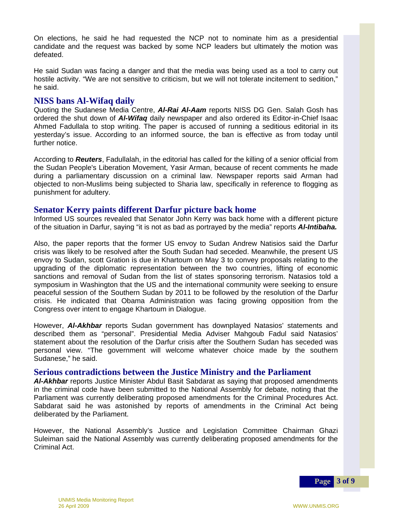On elections, he said he had requested the NCP not to nominate him as a presidential candidate and the request was backed by some NCP leaders but ultimately the motion was defeated.

He said Sudan was facing a danger and that the media was being used as a tool to carry out hostile activity. "We are not sensitive to criticism, but we will not tolerate incitement to sedition," he said.

#### **NISS bans Al-Wifaq daily**

Quoting the Sudanese Media Centre, *Al-Rai Al-Aam* reports NISS DG Gen. Salah Gosh has ordered the shut down of *Al-Wifaq* daily newspaper and also ordered its Editor-in-Chief Isaac Ahmed Fadullala to stop writing. The paper is accused of running a seditious editorial in its yesterday's issue. According to an informed source, the ban is effective as from today until further notice.

According to *Reuters*, Fadullalah, in the editorial has called for the killing of a senior official from the Sudan People's Liberation Movement, Yasir Arman, because of recent comments he made during a parliamentary discussion on a criminal law. Newspaper reports said Arman had objected to non-Muslims being subjected to Sharia law, specifically in reference to flogging as punishment for adultery.

#### **Senator Kerry paints different Darfur picture back home**

Informed US sources revealed that Senator John Kerry was back home with a different picture of the situation in Darfur, saying "it is not as bad as portrayed by the media" reports *Al-Intibaha.*

Also, the paper reports that the former US envoy to Sudan Andrew Natisios said the Darfur crisis was likely to be resolved after the South Sudan had seceded. Meanwhile, the present US envoy to Sudan, scott Gration is due in Khartoum on May 3 to convey proposals relating to the upgrading of the diplomatic representation between the two countries, lifting of economic sanctions and removal of Sudan from the list of states sponsoring terrorism. Natasios told a symposium in Washington that the US and the international community were seeking to ensure peaceful session of the Southern Sudan by 2011 to be followed by the resolution of the Darfur crisis. He indicated that Obama Administration was facing growing opposition from the Congress over intent to engage Khartoum in Dialogue.

However, *Al-Akhbar* reports Sudan government has downplayed Natasios' statements and described them as "personal". Presidential Media Adviser Mahgoub Fadul said Natasios' statement about the resolution of the Darfur crisis after the Southern Sudan has seceded was personal view. "The government will welcome whatever choice made by the southern Sudanese," he said.

#### **Serious contradictions between the Justice Ministry and the Parliament**

*Al-Akhbar* reports Justice Minister Abdul Basit Sabdarat as saying that proposed amendments in the criminal code have been submitted to the National Assembly for debate, noting that the Parliament was currently deliberating proposed amendments for the Criminal Procedures Act. Sabdarat said he was astonished by reports of amendments in the Criminal Act being deliberated by the Parliament.

However, the National Assembly's Justice and Legislation Committee Chairman Ghazi Suleiman said the National Assembly was currently deliberating proposed amendments for the Criminal Act.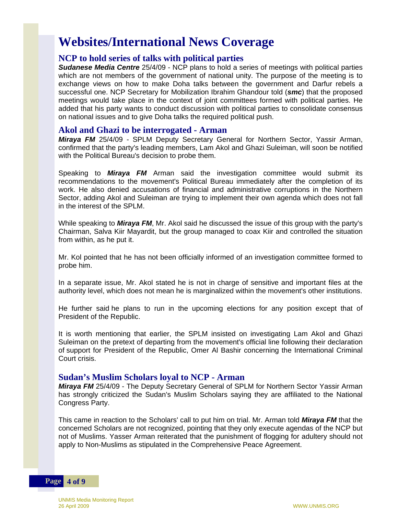## **Websites/International News Coverage**

#### **NCP to hold series of talks with political parties**

*Sudanese Media Centre* 25/4/09 - NCP plans to hold a series of meetings with political parties which are not members of the government of national unity. The purpose of the meeting is to exchange views on how to make Doha talks between the government and Darfur rebels a successful one. NCP Secretary for Mobilization Ibrahim Ghandour told (*smc*) that the proposed meetings would take place in the context of joint committees formed with political parties. He added that his party wants to conduct discussion with political parties to consolidate consensus on national issues and to give Doha talks the required political push.

#### **Akol and Ghazi to be interrogated - Arman**

*Miraya FM* 25/4/09 - SPLM Deputy Secretary General for Northern Sector, Yassir Arman, confirmed that the party's leading members, Lam Akol and Ghazi Suleiman, will soon be notified with the Political Bureau's decision to probe them.

Speaking to *Miraya FM* Arman said the investigation committee would submit its recommendations to the movement's Political Bureau immediately after the completion of its work. He also denied accusations of financial and administrative corruptions in the Northern Sector, adding Akol and Suleiman are trying to implement their own agenda which does not fall in the interest of the SPLM.

While speaking to *Miraya FM*, Mr. Akol said he discussed the issue of this group with the party's Chairman, Salva Kiir Mayardit, but the group managed to coax Kiir and controlled the situation from within, as he put it.

Mr. Kol pointed that he has not been officially informed of an investigation committee formed to probe him.

In a separate issue, Mr. Akol stated he is not in charge of sensitive and important files at the authority level, which does not mean he is marginalized within the movement's other institutions.

He further said he plans to run in the upcoming elections for any position except that of President of the Republic.

It is worth mentioning that earlier, the SPLM insisted on investigating Lam Akol and Ghazi Suleiman on the pretext of departing from the movement's official line following their declaration of support for President of the Republic, Omer Al Bashir concerning the International Criminal Court crisis.

#### **Sudan's Muslim Scholars loyal to NCP - Arman**

*Miraya FM* 25/4/09 - The Deputy Secretary General of SPLM for Northern Sector Yassir Arman has strongly criticized the Sudan's Muslim Scholars saying they are affiliated to the National Congress Party.

This came in reaction to the Scholars' call to put him on trial. Mr. Arman told *Miraya FM* that the concerned Scholars are not recognized, pointing that they only execute agendas of the NCP but not of Muslims. Yasser Arman reiterated that the punishment of flogging for adultery should not apply to Non-Muslims as stipulated in the Comprehensive Peace Agreement.

**Page 4 of 9**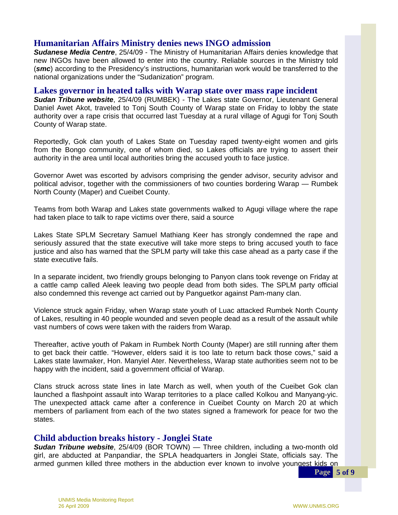#### **Humanitarian Affairs Ministry denies news INGO admission**

*Sudanese Media Centre*, 25/4/09 - The Ministry of Humanitarian Affairs denies knowledge that new INGOs have been allowed to enter into the country. Reliable sources in the Ministry told (*smc*) according to the Presidency's instructions, humanitarian work would be transferred to the national organizations under the "Sudanization" program.

#### **Lakes governor in heated talks with Warap state over mass rape incident**

*Sudan Tribune website*, 25/4/09 (RUMBEK) - The Lakes state Governor, Lieutenant General Daniel Awet Akot, traveled to Tonj South County of Warap state on Friday to lobby the state authority over a rape crisis that occurred last Tuesday at a rural village of Agugi for Tonj South County of Warap state.

Reportedly, Gok clan youth of Lakes State on Tuesday raped twenty-eight women and girls from the Bongo community, one of whom died, so Lakes officials are trying to assert their authority in the area until local authorities bring the accused youth to face justice.

Governor Awet was escorted by advisors comprising the gender advisor, security advisor and political advisor, together with the commissioners of two counties bordering Warap — Rumbek North County (Maper) and Cueibet County.

Teams from both Warap and Lakes state governments walked to Agugi village where the rape had taken place to talk to rape victims over there, said a source

Lakes State SPLM Secretary Samuel Mathiang Keer has strongly condemned the rape and seriously assured that the state executive will take more steps to bring accused youth to face justice and also has warned that the SPLM party will take this case ahead as a party case if the state executive fails.

 a cattle camp called Aleek leaving two people dead from both sides. The SPLM party official In a separate incident, two friendly groups belonging to Panyon clans took revenge on Friday at also condemned this revenge act carried out by Panguetkor against Pam-many clan.

Violence struck again Friday, when Warap state youth of Luac attacked Rumbek North County of Lakes, resulting in 40 people wounded and seven people dead as a result of the assault while vast numbers of cows were taken with the raiders from Warap.

Thereafter, active youth of Pakam in Rumbek North County (Maper) are still running after them to get back their cattle. "However, elders said it is too late to return back those cows," said a Lakes state lawmaker, Hon. Manyiel Ater. Nevertheless, Warap state authorities seem not to be happy with the incident, said a government official of Warap.

 launched a flashpoint assault into Warap territories to a place called Kolkou and Manyang-yic. Clans struck across state lines in late March as well, when youth of the Cueibet Gok clan The unexpected attack came after a conference in Cueibet County on March 20 at which members of parliament from each of the two states signed a framework for peace for two the states.

#### **Child abduction breaks history - Jonglei State**

*Sudan Tribune website*, 25/4/09 (BOR TOWN) — Three children, including a two-month old girl, are abducted at Panpandiar, the SPLA headquarters in Jonglei State, officials say. The armed gunmen killed three mothers in the abduction ever known to involve youngest kids on

**Page 5 of 9**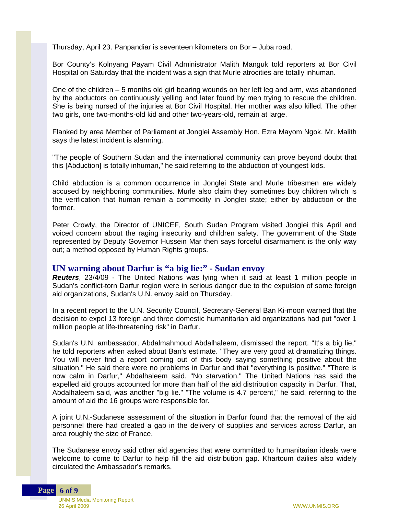Thursday, April 23. Panpandiar is seventeen kilometers on Bor – Juba road.

Bor County's Kolnyang Payam Civil Administrator Malith Manguk told reporters at Bor Civil Hospital on Saturday that the incident was a sign that Murle atrocities are totally inhuman.

One of the children – 5 months old girl bearing wounds on her left leg and arm, was abandoned by the abductors on continuously yelling and later found by men trying to rescue the children. She is being nursed of the injuries at Bor Civil Hospital. Her mother was also killed. The other two girls, one two-months-old kid and other two-years-old, remain at large.

Flanked by area Member of Parliament at Jonglei Assembly Hon. Ezra Mayom Ngok, Mr. Malith says the latest incident is alarming.

"The people of Southern Sudan and the international community can prove beyond doubt that this [Abduction] is totally inhuman," he said referring to the abduction of youngest kids.

Child abduction is a common occurrence in Jonglei State and Murle tribesmen are widely accused by neighboring communities. Murle also claim they sometimes buy children which is the verification that human remain a commodity in Jonglei state; either by abduction or the former.

Peter Crowly, the Director of UNICEF, South Sudan Program visited Jonglei this April and voiced concern about the raging insecurity and children safety. The government of the State represented by Deputy Governor Hussein Mar then says forceful disarmament is the only way out; a method opposed by Human Rights groups.

#### **UN warning about Darfur is "a big lie:" - Sudan envoy**

*Reuters*, 23/4/09 - The United Nations was lying when it said at least 1 million people in Sudan's conflict-torn Darfur region were in serious danger due to the expulsion of some foreign aid organizations, Sudan's U.N. envoy said on Thursday.

In a recent report to the U.N. Security Council, Secretary-General Ban Ki-moon warned that the decision to expel 13 foreign and three domestic humanitarian aid organizations had put "over 1 million people at life-threatening risk" in Darfur.

Sudan's U.N. ambassador, Abdalmahmoud Abdalhaleem, dismissed the report. "It's a big lie," he told reporters when asked about Ban's estimate. "They are very good at dramatizing things. You will never find a report coming out of this body saying something positive about the situation." He said there were no problems in Darfur and that "everything is positive." "There is now calm in Darfur," Abdalhaleem said. "No starvation." The United Nations has said the expelled aid groups accounted for more than half of the aid distribution capacity in Darfur. That, Abdalhaleem said, was another "big lie." "The volume is 4.7 percent," he said, referring to the amount of aid the 16 groups were responsible for.

A joint U.N.-Sudanese assessment of the situation in Darfur found that the removal of the aid personnel there had created a gap in the delivery of supplies and services across Darfur, an area roughly the size of France.

The Sudanese envoy said other aid agencies that were committed to humanitarian ideals were welcome to come to Darfur to help fill the aid distribution gap. Khartoum dailies also widely circulated the Ambassador's remarks.

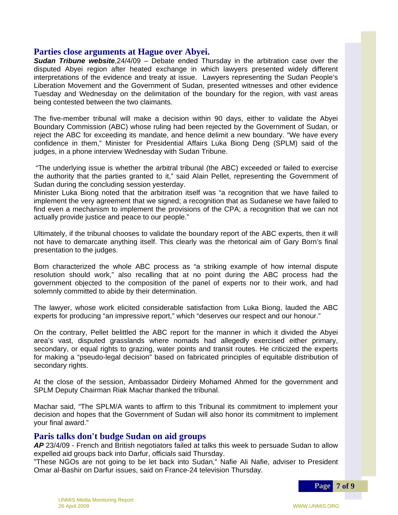#### **Parties close arguments at Hague over Abyei.**

*Sudan Tribune website*,24/4/09 – Debate ended Thursday in the arbitration case over the disputed Abyei region after heated exchange in which lawyers presented widely different interpretations of the evidence and treaty at issue. Lawyers representing the Sudan People's Liberation Movement and the Government of Sudan, presented witnesses and other evidence Tuesday and Wednesday on the delimitation of the boundary for the region, with vast areas being contested between the two claimants.

The five-member tribunal will make a decision within 90 days, either to validate the Abyei Boundary Commission (ABC) whose ruling had been rejected by the Government of Sudan, or reject the ABC for exceeding its mandate, and hence delimit a new boundary. "We have every confidence in them," Minister for Presidential Affairs Luka Biong Deng (SPLM) said of the judges, in a phone interview Wednesday with Sudan Tribune.

 "The underlying issue is whether the arbitral tribunal (the ABC) exceeded or failed to exercise the authority that the parties granted to it," said Alain Pellet, representing the Government of Sudan during the concluding session yesterday.

Minister Luka Biong noted that the arbitration itself was "a recognition that we have failed to implement the very agreement that we signed; a recognition that as Sudanese we have failed to find even a mechanism to implement the provisions of the CPA; a recognition that we can not actually provide justice and peace to our people."

Ultimately, if the tribunal chooses to validate the boundary report of the ABC experts, then it will not have to demarcate anything itself. This clearly was the rhetorical aim of Gary Born's final presentation to the judges.

Born characterized the whole ABC process as "a striking example of how internal dispute resolution should work," also recalling that at no point during the ABC process had the government objected to the composition of the panel of experts nor to their work, and had solemnly committed to abide by their determination.

The lawyer, whose work elicited considerable satisfaction from Luka Biong, lauded the ABC experts for producing "an impressive report," which "deserves our respect and our honour."

On the contrary, Pellet belittled the ABC report for the manner in which it divided the Abyei area's vast, disputed grasslands where nomads had allegedly exercised either primary, secondary, or equal rights to grazing, water points and transit routes. He criticized the experts for making a "pseudo-legal decision" based on fabricated principles of equitable distribution of secondary rights.

At the close of the session, Ambassador Dirdeiry Mohamed Ahmed for the government and SPLM Deputy Chairman Riak Machar thanked the tribunal.

Machar said, "The SPLM/A wants to affirm to this Tribunal its commitment to implement your decision and hopes that the Government of Sudan will also honor its commitment to implement your final award."

#### **Paris talks don't budge Sudan on aid groups**

*AP* 23/4/09 - French and British negotiators failed at talks this week to persuade Sudan to allow expelled aid groups back into Darfur, officials said Thursday.

"These NGOs are not going to be let back into Sudan," Nafie Ali Nafie, adviser to President Omar al-Bashir on Darfur issues, said on France-24 television Thursday.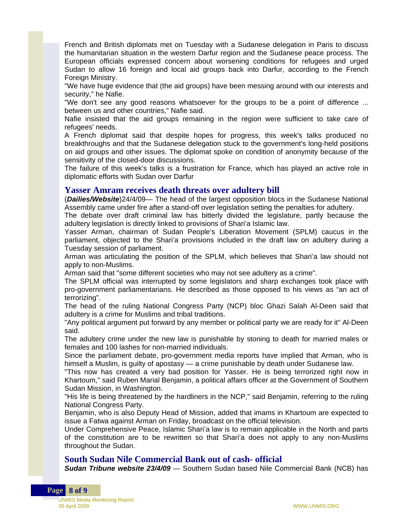French and British diplomats met on Tuesday with a Sudanese delegation in Paris to discuss the humanitarian situation in the western Darfur region and the Sudanese peace process. The European officials expressed concern about worsening conditions for refugees and urged Sudan to allow 16 foreign and local aid groups back into Darfur, according to the French Foreign Ministry.

"We have huge evidence that (the aid groups) have been messing around with our interests and security," he Nafie.

"We don't see any good reasons whatsoever for the groups to be a point of difference ... between us and other countries," Nafie said.

Nafie insisted that the aid groups remaining in the region were sufficient to take care of refugees' needs.

A French diplomat said that despite hopes for progress, this week's talks produced no breakthroughs and that the Sudanese delegation stuck to the government's long-held positions on aid groups and other issues. The diplomat spoke on condition of anonymity because of the sensitivity of the closed-door discussions.

The failure of this week's talks is a frustration for France, which has played an active role in diplomatic efforts with Sudan over Darfur

#### **Yasser Amram receives death threats over adultery bill**

(*Dailies/Website*)24/4/09— The head of the largest opposition blocs in the Sudanese National Assembly came under fire after a stand-off over legislation setting the penalties for adultery.

The debate over draft criminal law has bitterly divided the legislature, partly because the adultery legislation is directly linked to provisions of Shari'a Islamic law.

Yasser Arman, chairman of Sudan People's Liberation Movement (SPLM) caucus in the parliament, objected to the Shari'a provisions included in the draft law on adultery during a Tuesday session of parliament.

Arman was articulating the position of the SPLM, which believes that Shari'a law should not apply to non-Muslims.

Arman said that "some different societies who may not see adultery as a crime".

The SPLM official was interrupted by some legislators and sharp exchanges took place with pro-government parliamentarians. He described as those opposed to his views as "an act of terrorizing".

The head of the ruling National Congress Party (NCP) bloc Ghazi Salah Al-Deen said that adultery is a crime for Muslims and tribal traditions.

"Any political argument put forward by any member or political party we are ready for it" Al-Deen said.

The adultery crime under the new law is punishable by stoning to death for married males or females and 100 lashes for non-married individuals.

Since the parliament debate, pro-government media reports have implied that Arman, who is himself a Muslim, is guilty of apostasy — a crime punishable by death under Sudanese law.

"This now has created a very bad position for Yasser. He is being terrorized right now in Khartoum," said Ruben Marial Benjamin, a political affairs officer at the Government of Southern Sudan Mission, in Washington.

"His life is being threatened by the hardliners in the NCP," said Benjamin, referring to the ruling National Congress Party.

Benjamin, who is also Deputy Head of Mission, added that imams in Khartoum are expected to issue a Fatwa against Arman on Friday, broadcast on the official television.

Under Comprehensive Peace, Islamic Shari'a law is to remain applicable in the North and parts of the constitution are to be rewritten so that Shari'a does not apply to any non-Muslims throughout the Sudan.

#### **South Sudan Nile Commercial Bank out of cash- official**

*Sudan Tribune website 23/4/09* — Southern Sudan based Nile Commercial Bank (NCB) has

UNMIS Media Monitoring Report 26 April 2009 WWW.UNMIS.ORG

**Page 8 of 9**